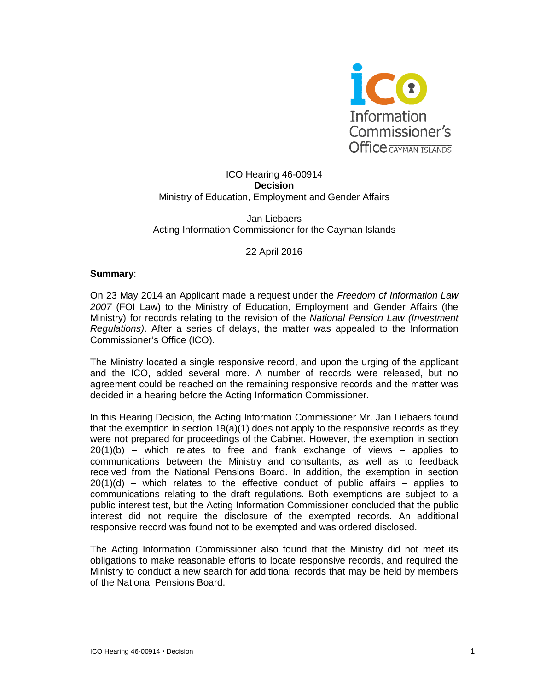

# ICO Hearing 46-00914 **Decision** Ministry of Education, Employment and Gender Affairs

#### Jan Liebaers Acting Information Commissioner for the Cayman Islands

## 22 April 2016

#### **Summary**:

On 23 May 2014 an Applicant made a request under the *Freedom of Information Law 2007* (FOI Law) to the Ministry of Education, Employment and Gender Affairs (the Ministry) for records relating to the revision of the *National Pension Law (Investment Regulations)*. After a series of delays, the matter was appealed to the Information Commissioner's Office (ICO).

The Ministry located a single responsive record, and upon the urging of the applicant and the ICO, added several more. A number of records were released, but no agreement could be reached on the remaining responsive records and the matter was decided in a hearing before the Acting Information Commissioner.

In this Hearing Decision, the Acting Information Commissioner Mr. Jan Liebaers found that the exemption in section  $19(a)(1)$  does not apply to the responsive records as they were not prepared for proceedings of the Cabinet. However, the exemption in section  $20(1)(b)$  – which relates to free and frank exchange of views – applies to communications between the Ministry and consultants, as well as to feedback received from the National Pensions Board. In addition, the exemption in section  $20(1)(d)$  – which relates to the effective conduct of public affairs – applies to communications relating to the draft regulations. Both exemptions are subject to a public interest test, but the Acting Information Commissioner concluded that the public interest did not require the disclosure of the exempted records. An additional responsive record was found not to be exempted and was ordered disclosed.

The Acting Information Commissioner also found that the Ministry did not meet its obligations to make reasonable efforts to locate responsive records, and required the Ministry to conduct a new search for additional records that may be held by members of the National Pensions Board.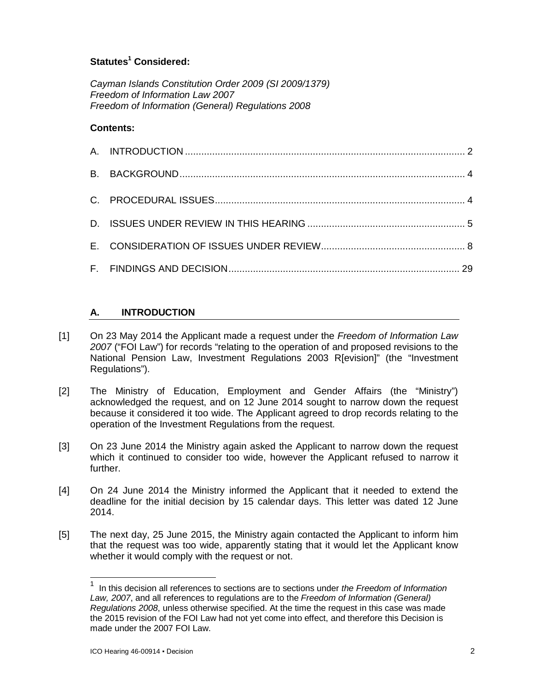# **Statutes<sup>1</sup> Considered:**

*Cayman Islands Constitution Order 2009 (SI 2009/1379) Freedom of Information Law 2007 Freedom of Information (General) Regulations 2008*

# **Contents:**

# **A. INTRODUCTION**

- [1] On 23 May 2014 the Applicant made a request under the *Freedom of Information Law 2007* ("FOI Law") for records "relating to the operation of and proposed revisions to the National Pension Law, Investment Regulations 2003 R[evision]" (the "Investment Regulations").
- [2] The Ministry of Education, Employment and Gender Affairs (the "Ministry") acknowledged the request, and on 12 June 2014 sought to narrow down the request because it considered it too wide. The Applicant agreed to drop records relating to the operation of the Investment Regulations from the request.
- [3] On 23 June 2014 the Ministry again asked the Applicant to narrow down the request which it continued to consider too wide, however the Applicant refused to narrow it further.
- [4] On 24 June 2014 the Ministry informed the Applicant that it needed to extend the deadline for the initial decision by 15 calendar days. This letter was dated 12 June 2014.
- [5] The next day, 25 June 2015, the Ministry again contacted the Applicant to inform him that the request was too wide, apparently stating that it would let the Applicant know whether it would comply with the request or not.

-

<sup>1</sup> In this decision all references to sections are to sections under *the Freedom of Information Law, 2007*, and all references to regulations are to the *Freedom of Information (General) Regulations 2008*, unless otherwise specified. At the time the request in this case was made the 2015 revision of the FOI Law had not yet come into effect, and therefore this Decision is made under the 2007 FOI Law.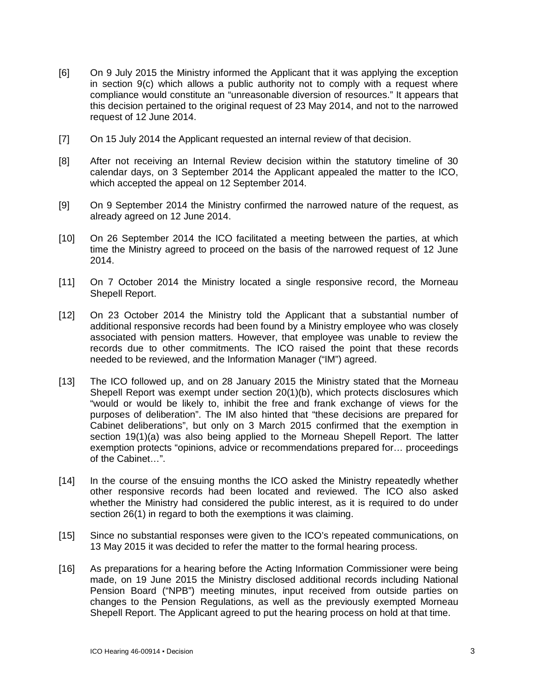- [6] On 9 July 2015 the Ministry informed the Applicant that it was applying the exception in section 9(c) which allows a public authority not to comply with a request where compliance would constitute an "unreasonable diversion of resources." It appears that this decision pertained to the original request of 23 May 2014, and not to the narrowed request of 12 June 2014.
- [7] On 15 July 2014 the Applicant requested an internal review of that decision.
- [8] After not receiving an Internal Review decision within the statutory timeline of 30 calendar days, on 3 September 2014 the Applicant appealed the matter to the ICO, which accepted the appeal on 12 September 2014.
- [9] On 9 September 2014 the Ministry confirmed the narrowed nature of the request, as already agreed on 12 June 2014.
- [10] On 26 September 2014 the ICO facilitated a meeting between the parties, at which time the Ministry agreed to proceed on the basis of the narrowed request of 12 June 2014.
- [11] On 7 October 2014 the Ministry located a single responsive record, the Morneau Shepell Report.
- [12] On 23 October 2014 the Ministry told the Applicant that a substantial number of additional responsive records had been found by a Ministry employee who was closely associated with pension matters. However, that employee was unable to review the records due to other commitments. The ICO raised the point that these records needed to be reviewed, and the Information Manager ("IM") agreed.
- [13] The ICO followed up, and on 28 January 2015 the Ministry stated that the Morneau Shepell Report was exempt under section 20(1)(b), which protects disclosures which "would or would be likely to, inhibit the free and frank exchange of views for the purposes of deliberation". The IM also hinted that "these decisions are prepared for Cabinet deliberations", but only on 3 March 2015 confirmed that the exemption in section 19(1)(a) was also being applied to the Morneau Shepell Report. The latter exemption protects "opinions, advice or recommendations prepared for… proceedings of the Cabinet…".
- [14] In the course of the ensuing months the ICO asked the Ministry repeatedly whether other responsive records had been located and reviewed. The ICO also asked whether the Ministry had considered the public interest, as it is required to do under section 26(1) in regard to both the exemptions it was claiming.
- [15] Since no substantial responses were given to the ICO's repeated communications, on 13 May 2015 it was decided to refer the matter to the formal hearing process.
- [16] As preparations for a hearing before the Acting Information Commissioner were being made, on 19 June 2015 the Ministry disclosed additional records including National Pension Board ("NPB") meeting minutes, input received from outside parties on changes to the Pension Regulations, as well as the previously exempted Morneau Shepell Report. The Applicant agreed to put the hearing process on hold at that time.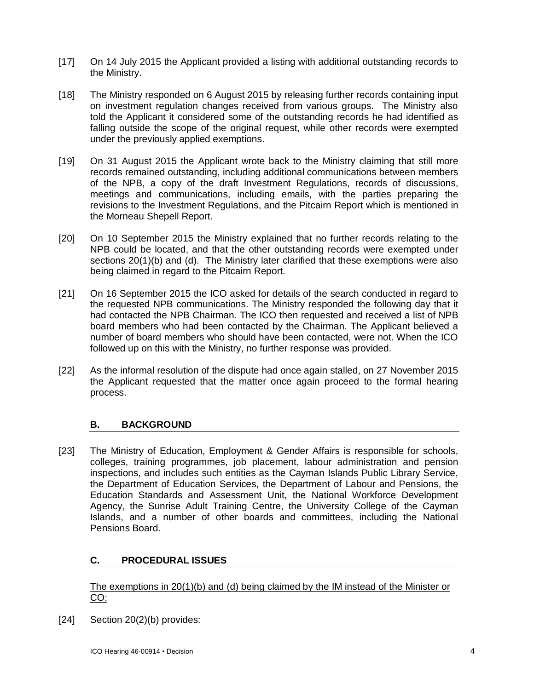- [17] On 14 July 2015 the Applicant provided a listing with additional outstanding records to the Ministry.
- [18] The Ministry responded on 6 August 2015 by releasing further records containing input on investment regulation changes received from various groups. The Ministry also told the Applicant it considered some of the outstanding records he had identified as falling outside the scope of the original request, while other records were exempted under the previously applied exemptions.
- [19] On 31 August 2015 the Applicant wrote back to the Ministry claiming that still more records remained outstanding, including additional communications between members of the NPB, a copy of the draft Investment Regulations, records of discussions, meetings and communications, including emails, with the parties preparing the revisions to the Investment Regulations, and the Pitcairn Report which is mentioned in the Morneau Shepell Report.
- [20] On 10 September 2015 the Ministry explained that no further records relating to the NPB could be located, and that the other outstanding records were exempted under sections 20(1)(b) and (d). The Ministry later clarified that these exemptions were also being claimed in regard to the Pitcairn Report.
- [21] On 16 September 2015 the ICO asked for details of the search conducted in regard to the requested NPB communications. The Ministry responded the following day that it had contacted the NPB Chairman. The ICO then requested and received a list of NPB board members who had been contacted by the Chairman. The Applicant believed a number of board members who should have been contacted, were not. When the ICO followed up on this with the Ministry, no further response was provided.
- [22] As the informal resolution of the dispute had once again stalled, on 27 November 2015 the Applicant requested that the matter once again proceed to the formal hearing process.

# **B. BACKGROUND**

[23] The Ministry of Education, Employment & Gender Affairs is responsible for schools, colleges, training programmes, job placement, labour administration and pension inspections, and includes such entities as the Cayman Islands Public Library Service, the Department of Education Services, the Department of Labour and Pensions, the Education Standards and Assessment Unit, the National Workforce Development Agency, the Sunrise Adult Training Centre, the University College of the Cayman Islands, and a number of other boards and committees, including the National Pensions Board.

# **C. PROCEDURAL ISSUES**

The exemptions in 20(1)(b) and (d) being claimed by the IM instead of the Minister or CO:

[24] Section 20(2)(b) provides: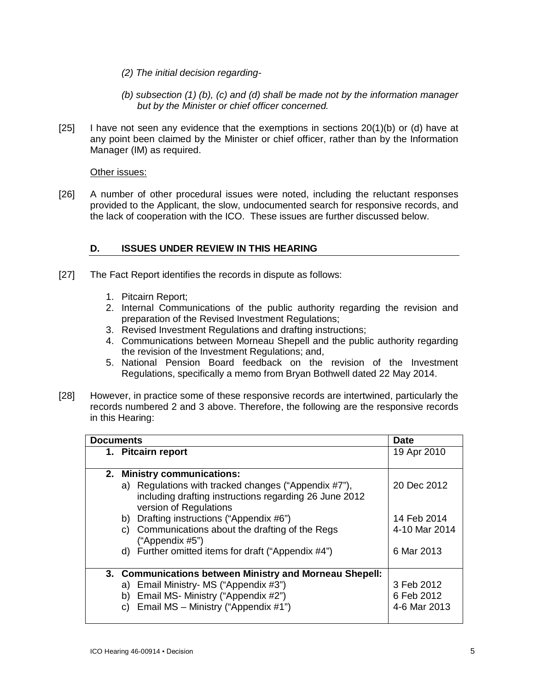- *(2) The initial decision regarding-*
- *(b) subsection (1) (b), (c) and (d) shall be made not by the information manager but by the Minister or chief officer concerned.*
- $[25]$  I have not seen any evidence that the exemptions in sections  $20(1)(b)$  or (d) have at any point been claimed by the Minister or chief officer, rather than by the Information Manager (IM) as required.

## Other issues:

[26] A number of other procedural issues were noted, including the reluctant responses provided to the Applicant, the slow, undocumented search for responsive records, and the lack of cooperation with the ICO. These issues are further discussed below.

# **D. ISSUES UNDER REVIEW IN THIS HEARING**

- [27] The Fact Report identifies the records in dispute as follows:
	- 1. Pitcairn Report;
	- 2. Internal Communications of the public authority regarding the revision and preparation of the Revised Investment Regulations;
	- 3. Revised Investment Regulations and drafting instructions;
	- 4. Communications between Morneau Shepell and the public authority regarding the revision of the Investment Regulations; and,
	- 5. National Pension Board feedback on the revision of the Investment Regulations, specifically a memo from Bryan Bothwell dated 22 May 2014.
- [28] However, in practice some of these responsive records are intertwined, particularly the records numbered 2 and 3 above. Therefore, the following are the responsive records in this Hearing:

| <b>Documents</b>                                                                                                                         | <b>Date</b>   |
|------------------------------------------------------------------------------------------------------------------------------------------|---------------|
| 1. Pitcairn report                                                                                                                       | 19 Apr 2010   |
| <b>Ministry communications:</b><br>2.                                                                                                    |               |
| a) Regulations with tracked changes ("Appendix #7"),<br>including drafting instructions regarding 26 June 2012<br>version of Regulations | 20 Dec 2012   |
| b) Drafting instructions ("Appendix #6")                                                                                                 | 14 Feb 2014   |
| c) Communications about the drafting of the Regs<br>("Appendix $#5$ ")                                                                   | 4-10 Mar 2014 |
| d) Further omitted items for draft ("Appendix #4")                                                                                       | 6 Mar 2013    |
| 3. Communications between Ministry and Morneau Shepell:                                                                                  |               |
| a) Email Ministry- MS ("Appendix #3")                                                                                                    | 3 Feb 2012    |
| b) Email MS- Ministry ("Appendix #2")                                                                                                    | 6 Feb 2012    |
| c) Email MS - Ministry ("Appendix $\#1$ ")                                                                                               | 4-6 Mar 2013  |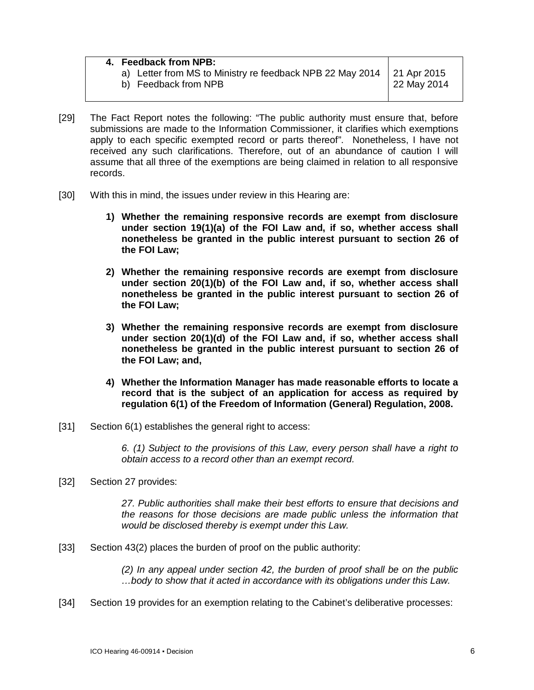| 4. Feedback from NPB:                                                 |             |
|-----------------------------------------------------------------------|-------------|
| a) Letter from MS to Ministry re feedback NPB 22 May 2014 21 Apr 2015 |             |
| b) Feedback from NPB                                                  | 22 May 2014 |

- [29] The Fact Report notes the following: "The public authority must ensure that, before submissions are made to the Information Commissioner, it clarifies which exemptions apply to each specific exempted record or parts thereof". Nonetheless, I have not received any such clarifications. Therefore, out of an abundance of caution I will assume that all three of the exemptions are being claimed in relation to all responsive records.
- [30] With this in mind, the issues under review in this Hearing are:
	- **1) Whether the remaining responsive records are exempt from disclosure under section 19(1)(a) of the FOI Law and, if so, whether access shall nonetheless be granted in the public interest pursuant to section 26 of the FOI Law;**
	- **2) Whether the remaining responsive records are exempt from disclosure under section 20(1)(b) of the FOI Law and, if so, whether access shall nonetheless be granted in the public interest pursuant to section 26 of the FOI Law;**
	- **3) Whether the remaining responsive records are exempt from disclosure under section 20(1)(d) of the FOI Law and, if so, whether access shall nonetheless be granted in the public interest pursuant to section 26 of the FOI Law; and,**
	- **4) Whether the Information Manager has made reasonable efforts to locate a record that is the subject of an application for access as required by regulation 6(1) of the Freedom of Information (General) Regulation, 2008.**
- [31] Section 6(1) establishes the general right to access:

*6. (1) Subject to the provisions of this Law, every person shall have a right to obtain access to a record other than an exempt record.*

[32] Section 27 provides:

*27. Public authorities shall make their best efforts to ensure that decisions and the reasons for those decisions are made public unless the information that would be disclosed thereby is exempt under this Law.*

[33] Section 43(2) places the burden of proof on the public authority:

*(2) In any appeal under section 42, the burden of proof shall be on the public …body to show that it acted in accordance with its obligations under this Law.*

[34] Section 19 provides for an exemption relating to the Cabinet's deliberative processes: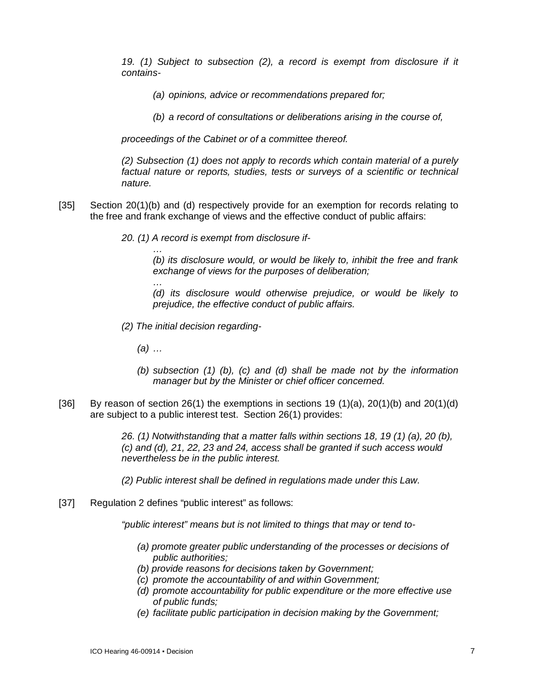*19. (1) Subject to subsection (2), a record is exempt from disclosure if it contains-*

*(a) opinions, advice or recommendations prepared for;*

*(b) a record of consultations or deliberations arising in the course of,*

*proceedings of the Cabinet or of a committee thereof.*

*(2) Subsection (1) does not apply to records which contain material of a purely factual nature or reports, studies, tests or surveys of a scientific or technical nature.*

- [35] Section 20(1)(b) and (d) respectively provide for an exemption for records relating to the free and frank exchange of views and the effective conduct of public affairs:
	- *20. (1) A record is exempt from disclosure if-*

*(b) its disclosure would, or would be likely to, inhibit the free and frank exchange of views for the purposes of deliberation;*

*(d) its disclosure would otherwise prejudice, or would be likely to prejudice, the effective conduct of public affairs.*

- *(2) The initial decision regarding-*
	- *(a) …*

*…*

*…*

- *(b) subsection (1) (b), (c) and (d) shall be made not by the information manager but by the Minister or chief officer concerned.*
- [36] By reason of section 26(1) the exemptions in sections 19 (1)(a), 20(1)(b) and 20(1)(d) are subject to a public interest test. Section 26(1) provides:

*26. (1) Notwithstanding that a matter falls within sections 18, 19 (1) (a), 20 (b), (c) and (d), 21, 22, 23 and 24, access shall be granted if such access would nevertheless be in the public interest.*

*(2) Public interest shall be defined in regulations made under this Law.*

[37] Regulation 2 defines "public interest" as follows:

*"public interest" means but is not limited to things that may or tend to-*

- *(a) promote greater public understanding of the processes or decisions of public authorities;*
- *(b) provide reasons for decisions taken by Government;*
- *(c) promote the accountability of and within Government;*
- *(d) promote accountability for public expenditure or the more effective use of public funds;*
- *(e) facilitate public participation in decision making by the Government;*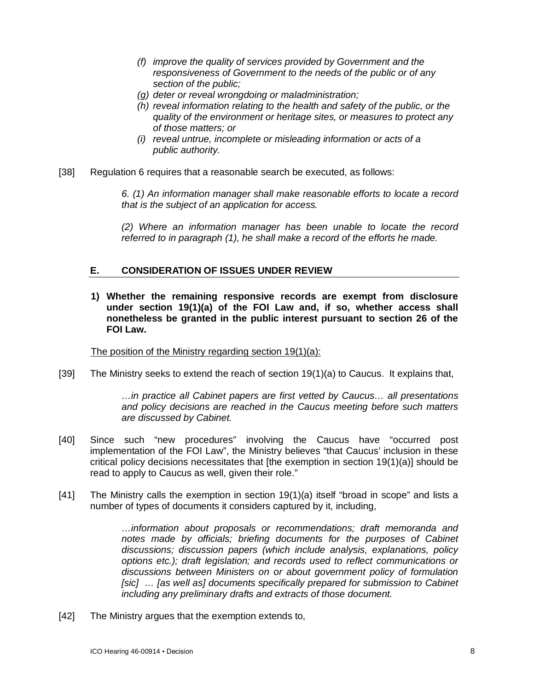- *(f) improve the quality of services provided by Government and the responsiveness of Government to the needs of the public or of any section of the public;*
- *(g) deter or reveal wrongdoing or maladministration;*
- *(h) reveal information relating to the health and safety of the public, or the quality of the environment or heritage sites, or measures to protect any of those matters; or*
- *(i) reveal untrue, incomplete or misleading information or acts of a public authority.*
- [38] Regulation 6 requires that a reasonable search be executed, as follows:

*6. (1) An information manager shall make reasonable efforts to locate a record that is the subject of an application for access.*

*(2) Where an information manager has been unable to locate the record referred to in paragraph (1), he shall make a record of the efforts he made.*

## **E. CONSIDERATION OF ISSUES UNDER REVIEW**

**1) Whether the remaining responsive records are exempt from disclosure under section 19(1)(a) of the FOI Law and, if so, whether access shall nonetheless be granted in the public interest pursuant to section 26 of the FOI Law.**

The position of the Ministry regarding section 19(1)(a):

[39] The Ministry seeks to extend the reach of section 19(1)(a) to Caucus. It explains that,

*…in practice all Cabinet papers are first vetted by Caucus… all presentations and policy decisions are reached in the Caucus meeting before such matters are discussed by Cabinet.*

- [40] Since such "new procedures" involving the Caucus have "occurred post implementation of the FOI Law", the Ministry believes "that Caucus' inclusion in these critical policy decisions necessitates that [the exemption in section 19(1)(a)] should be read to apply to Caucus as well, given their role."
- [41] The Ministry calls the exemption in section 19(1)(a) itself "broad in scope" and lists a number of types of documents it considers captured by it, including,

*…information about proposals or recommendations; draft memoranda and*  notes made by officials; briefing documents for the purposes of Cabinet *discussions; discussion papers (which include analysis, explanations, policy options etc.); draft legislation; and records used to reflect communications or discussions between Ministers on or about government policy of formulation*  [sic] ... [as well as] documents specifically prepared for submission to Cabinet *including any preliminary drafts and extracts of those document.* 

[42] The Ministry argues that the exemption extends to,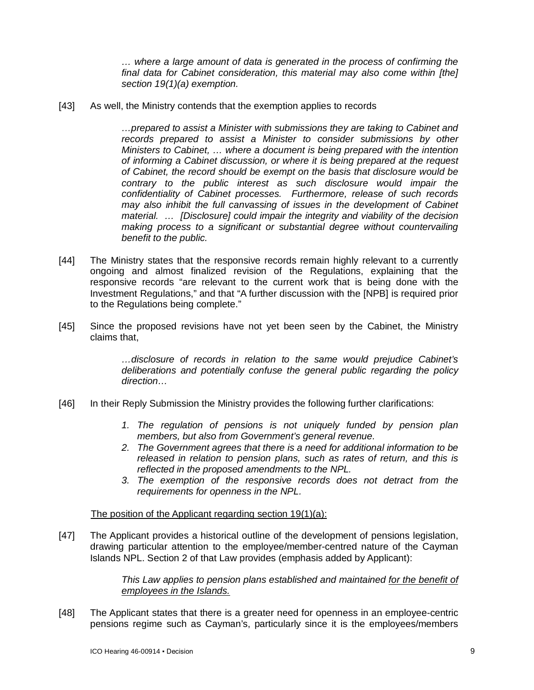*… where a large amount of data is generated in the process of confirming the final data for Cabinet consideration, this material may also come within [the] section 19(1)(a) exemption.* 

[43] As well, the Ministry contends that the exemption applies to records

*…prepared to assist a Minister with submissions they are taking to Cabinet and records prepared to assist a Minister to consider submissions by other Ministers to Cabinet, … where a document is being prepared with the intention of informing a Cabinet discussion, or where it is being prepared at the request of Cabinet, the record should be exempt on the basis that disclosure would be contrary to the public interest as such disclosure would impair the confidentiality of Cabinet processes. Furthermore, release of such records may also inhibit the full canvassing of issues in the development of Cabinet material. … [Disclosure] could impair the integrity and viability of the decision making process to a significant or substantial degree without countervailing benefit to the public.* 

- [44] The Ministry states that the responsive records remain highly relevant to a currently ongoing and almost finalized revision of the Regulations, explaining that the responsive records "are relevant to the current work that is being done with the Investment Regulations," and that "A further discussion with the [NPB] is required prior to the Regulations being complete."
- [45] Since the proposed revisions have not yet been seen by the Cabinet, the Ministry claims that,

*…disclosure of records in relation to the same would prejudice Cabinet's deliberations and potentially confuse the general public regarding the policy direction…*

- [46] In their Reply Submission the Ministry provides the following further clarifications:
	- *1. The regulation of pensions is not uniquely funded by pension plan members, but also from Government's general revenue.*
	- *2. The Government agrees that there is a need for additional information to be released in relation to pension plans, such as rates of return, and this is reflected in the proposed amendments to the NPL.*
	- *3. The exemption of the responsive records does not detract from the requirements for openness in the NPL.*

The position of the Applicant regarding section 19(1)(a):

[47] The Applicant provides a historical outline of the development of pensions legislation, drawing particular attention to the employee/member-centred nature of the Cayman Islands NPL. Section 2 of that Law provides (emphasis added by Applicant):

> *This Law applies to pension plans established and maintained for the benefit of employees in the Islands.*

[48] The Applicant states that there is a greater need for openness in an employee-centric pensions regime such as Cayman's, particularly since it is the employees/members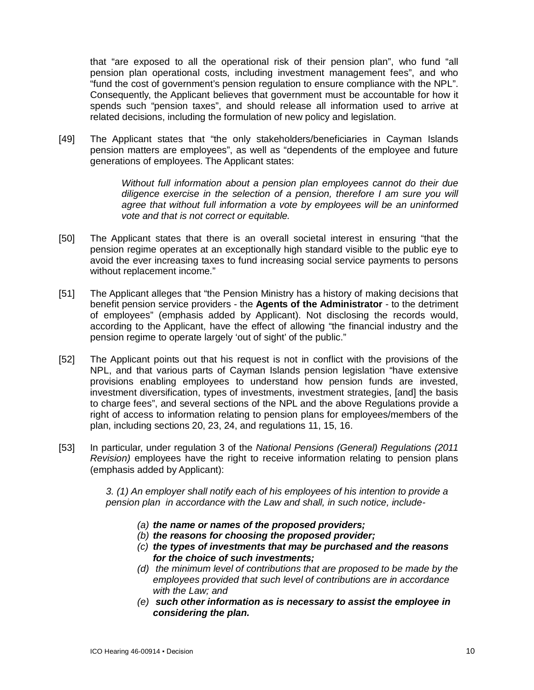that "are exposed to all the operational risk of their pension plan", who fund "all pension plan operational costs, including investment management fees", and who "fund the cost of government's pension regulation to ensure compliance with the NPL". Consequently, the Applicant believes that government must be accountable for how it spends such "pension taxes", and should release all information used to arrive at related decisions, including the formulation of new policy and legislation.

[49] The Applicant states that "the only stakeholders/beneficiaries in Cayman Islands pension matters are employees", as well as "dependents of the employee and future generations of employees. The Applicant states:

> *Without full information about a pension plan employees cannot do their due diligence exercise in the selection of a pension, therefore I am sure you will agree that without full information a vote by employees will be an uninformed vote and that is not correct or equitable.*

- [50] The Applicant states that there is an overall societal interest in ensuring "that the pension regime operates at an exceptionally high standard visible to the public eye to avoid the ever increasing taxes to fund increasing social service payments to persons without replacement income."
- [51] The Applicant alleges that "the Pension Ministry has a history of making decisions that benefit pension service providers - the **Agents of the Administrator** - to the detriment of employees" (emphasis added by Applicant). Not disclosing the records would, according to the Applicant, have the effect of allowing "the financial industry and the pension regime to operate largely 'out of sight' of the public."
- [52] The Applicant points out that his request is not in conflict with the provisions of the NPL, and that various parts of Cayman Islands pension legislation "have extensive provisions enabling employees to understand how pension funds are invested, investment diversification, types of investments, investment strategies, [and] the basis to charge fees", and several sections of the NPL and the above Regulations provide a right of access to information relating to pension plans for employees/members of the plan, including sections 20, 23, 24, and regulations 11, 15, 16.
- [53] In particular, under regulation 3 of the *National Pensions (General) Regulations (2011 Revision)* employees have the right to receive information relating to pension plans (emphasis added by Applicant):

*3. (1) An employer shall notify each of his employees of his intention to provide a pension plan in accordance with the Law and shall, in such notice, include-*

- *(a) the name or names of the proposed providers;*
- *(b) the reasons for choosing the proposed provider;*
- *(c) the types of investments that may be purchased and the reasons for the choice of such investments;*
- *(d) the minimum level of contributions that are proposed to be made by the employees provided that such level of contributions are in accordance with the Law; and*
- *(e) such other information as is necessary to assist the employee in considering the plan.*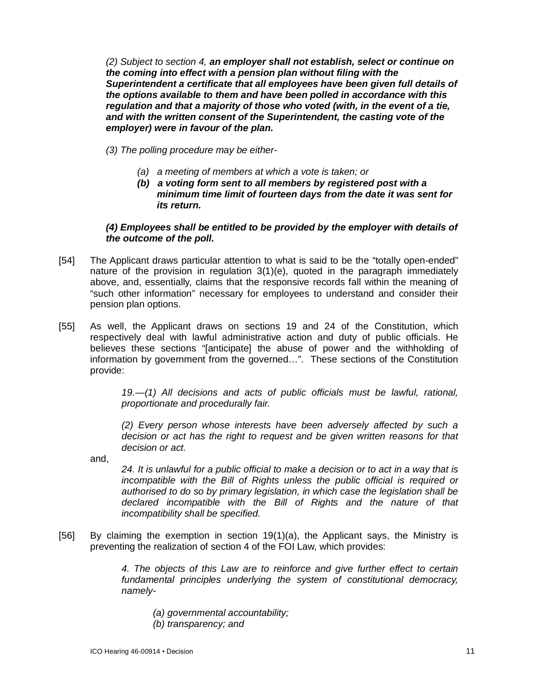*(2) Subject to section 4, an employer shall not establish, select or continue on the coming into effect with a pension plan without filing with the Superintendent a certificate that all employees have been given full details of the options available to them and have been polled in accordance with this regulation and that a majority of those who voted (with, in the event of a tie, and with the written consent of the Superintendent, the casting vote of the employer) were in favour of the plan.* 

*(3) The polling procedure may be either-*

- *(a) a meeting of members at which a vote is taken; or*
- *(b) a voting form sent to all members by registered post with a minimum time limit of fourteen days from the date it was sent for its return.*

#### *(4) Employees shall be entitled to be provided by the employer with details of the outcome of the poll.*

- [54] The Applicant draws particular attention to what is said to be the "totally open-ended" nature of the provision in regulation 3(1)(e), quoted in the paragraph immediately above, and, essentially, claims that the responsive records fall within the meaning of "such other information" necessary for employees to understand and consider their pension plan options.
- [55] As well, the Applicant draws on sections 19 and 24 of the Constitution, which respectively deal with lawful administrative action and duty of public officials. He believes these sections "[anticipate] the abuse of power and the withholding of information by government from the governed…". These sections of the Constitution provide:

*19.—(1) All decisions and acts of public officials must be lawful, rational, proportionate and procedurally fair.*

*(2) Every person whose interests have been adversely affected by such a decision or act has the right to request and be given written reasons for that decision or act.*

and,

*24. It is unlawful for a public official to make a decision or to act in a way that is incompatible with the Bill of Rights unless the public official is required or authorised to do so by primary legislation, in which case the legislation shall be declared incompatible with the Bill of Rights and the nature of that incompatibility shall be specified.*

[56] By claiming the exemption in section 19(1)(a), the Applicant says, the Ministry is preventing the realization of section 4 of the FOI Law, which provides:

> *4. The objects of this Law are to reinforce and give further effect to certain fundamental principles underlying the system of constitutional democracy, namely-*

- *(a) governmental accountability;*
- *(b) transparency; and*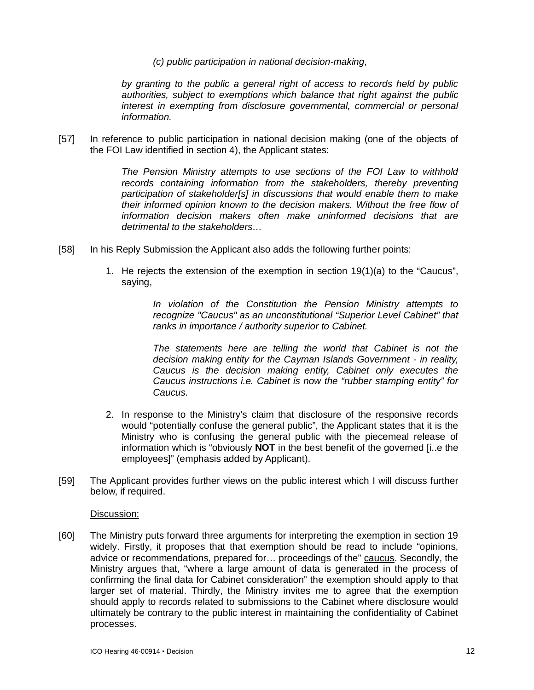*(c) public participation in national decision-making,*

*by granting to the public a general right of access to records held by public authorities, subject to exemptions which balance that right against the public interest in exempting from disclosure governmental, commercial or personal information.*

[57] In reference to public participation in national decision making (one of the objects of the FOI Law identified in section 4), the Applicant states:

> *The Pension Ministry attempts to use sections of the FOI Law to withhold records containing information from the stakeholders, thereby preventing participation of stakeholder[s] in discussions that would enable them to make their informed opinion known to the decision makers. Without the free flow of information decision makers often make uninformed decisions that are detrimental to the stakeholders…*

- [58] In his Reply Submission the Applicant also adds the following further points:
	- 1. He rejects the extension of the exemption in section 19(1)(a) to the "Caucus", saying,

*In violation of the Constitution the Pension Ministry attempts to recognize "Caucus" as an unconstitutional "Superior Level Cabinet" that ranks in importance / authority superior to Cabinet.*

*The statements here are telling the world that Cabinet is not the decision making entity for the Cayman Islands Government - in reality, Caucus is the decision making entity, Cabinet only executes the Caucus instructions i.e. Cabinet is now the "rubber stamping entity" for Caucus.*

- 2. In response to the Ministry's claim that disclosure of the responsive records would "potentially confuse the general public", the Applicant states that it is the Ministry who is confusing the general public with the piecemeal release of information which is "obviously **NOT** in the best benefit of the governed [i..e the employees]" (emphasis added by Applicant).
- [59] The Applicant provides further views on the public interest which I will discuss further below, if required.

Discussion:

[60] The Ministry puts forward three arguments for interpreting the exemption in section 19 widely. Firstly, it proposes that that exemption should be read to include "opinions, advice or recommendations, prepared for… proceedings of the" caucus. Secondly, the Ministry argues that, "where a large amount of data is generated in the process of confirming the final data for Cabinet consideration" the exemption should apply to that larger set of material. Thirdly, the Ministry invites me to agree that the exemption should apply to records related to submissions to the Cabinet where disclosure would ultimately be contrary to the public interest in maintaining the confidentiality of Cabinet processes.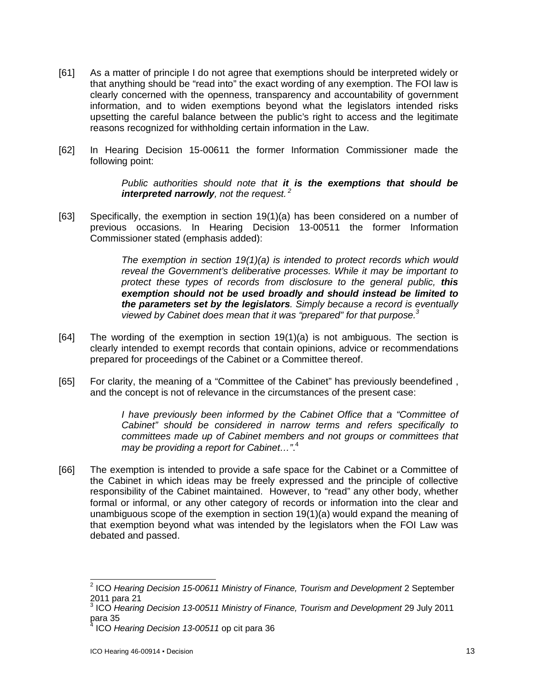- [61] As a matter of principle I do not agree that exemptions should be interpreted widely or that anything should be "read into" the exact wording of any exemption. The FOI law is clearly concerned with the openness, transparency and accountability of government information, and to widen exemptions beyond what the legislators intended risks upsetting the careful balance between the public's right to access and the legitimate reasons recognized for withholding certain information in the Law.
- [62] In Hearing Decision 15-00611 the former Information Commissioner made the following point:

*Public authorities should note that it is the exemptions that should be interpreted narrowly, not the request. <sup>2</sup>*

[63] Specifically, the exemption in section 19(1)(a) has been considered on a number of previous occasions. In Hearing Decision 13-00511 the former Information Commissioner stated (emphasis added):

> *The exemption in section 19(1)(a) is intended to protect records which would reveal the Government's deliberative processes. While it may be important to protect these types of records from disclosure to the general public, this exemption should not be used broadly and should instead be limited to the parameters set by the legislators. Simply because a record is eventually viewed by Cabinet does mean that it was "prepared" for that purpose.<sup>3</sup>*

- [64] The wording of the exemption in section 19(1)(a) is not ambiguous. The section is clearly intended to exempt records that contain opinions, advice or recommendations prepared for proceedings of the Cabinet or a Committee thereof.
- [65] For clarity, the meaning of a "Committee of the Cabinet" has previously beendefined , and the concept is not of relevance in the circumstances of the present case:

*I have previously been informed by the Cabinet Office that a "Committee of Cabinet" should be considered in narrow terms and refers specifically to committees made up of Cabinet members and not groups or committees that may be providing a report for Cabinet…"*. 4

[66] The exemption is intended to provide a safe space for the Cabinet or a Committee of the Cabinet in which ideas may be freely expressed and the principle of collective responsibility of the Cabinet maintained. However, to "read" any other body, whether formal or informal, or any other category of records or information into the clear and unambiguous scope of the exemption in section 19(1)(a) would expand the meaning of that exemption beyond what was intended by the legislators when the FOI Law was debated and passed.

 2 ICO *Hearing Decision 15-00611 Ministry of Finance, Tourism and Development* 2 September 2011 para 21

<sup>3</sup> ICO *Hearing Decision 13-00511 Ministry of Finance, Tourism and Development* 29 July 2011 para 35

<sup>4</sup> ICO *Hearing Decision 13-00511* op cit para 36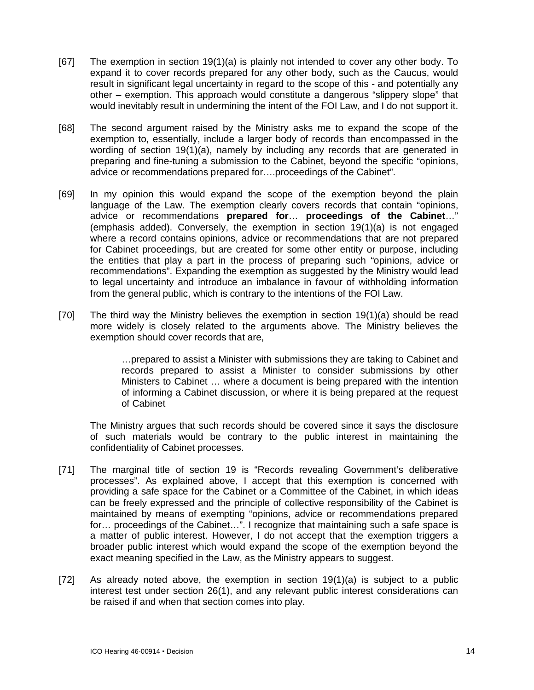- [67] The exemption in section 19(1)(a) is plainly not intended to cover any other body. To expand it to cover records prepared for any other body, such as the Caucus, would result in significant legal uncertainty in regard to the scope of this - and potentially any other – exemption. This approach would constitute a dangerous "slippery slope" that would inevitably result in undermining the intent of the FOI Law, and I do not support it.
- [68] The second argument raised by the Ministry asks me to expand the scope of the exemption to, essentially, include a larger body of records than encompassed in the wording of section 19(1)(a), namely by including any records that are generated in preparing and fine-tuning a submission to the Cabinet, beyond the specific "opinions, advice or recommendations prepared for….proceedings of the Cabinet".
- [69] In my opinion this would expand the scope of the exemption beyond the plain language of the Law. The exemption clearly covers records that contain "opinions, advice or recommendations **prepared for**… **proceedings of the Cabinet**…" (emphasis added). Conversely, the exemption in section 19(1)(a) is not engaged where a record contains opinions, advice or recommendations that are not prepared for Cabinet proceedings, but are created for some other entity or purpose, including the entities that play a part in the process of preparing such "opinions, advice or recommendations". Expanding the exemption as suggested by the Ministry would lead to legal uncertainty and introduce an imbalance in favour of withholding information from the general public, which is contrary to the intentions of the FOI Law.
- [70] The third way the Ministry believes the exemption in section 19(1)(a) should be read more widely is closely related to the arguments above. The Ministry believes the exemption should cover records that are,

…prepared to assist a Minister with submissions they are taking to Cabinet and records prepared to assist a Minister to consider submissions by other Ministers to Cabinet … where a document is being prepared with the intention of informing a Cabinet discussion, or where it is being prepared at the request of Cabinet

The Ministry argues that such records should be covered since it says the disclosure of such materials would be contrary to the public interest in maintaining the confidentiality of Cabinet processes.

- [71] The marginal title of section 19 is "Records revealing Government's deliberative processes". As explained above, I accept that this exemption is concerned with providing a safe space for the Cabinet or a Committee of the Cabinet, in which ideas can be freely expressed and the principle of collective responsibility of the Cabinet is maintained by means of exempting "opinions, advice or recommendations prepared for... proceedings of the Cabinet...". I recognize that maintaining such a safe space is a matter of public interest. However, I do not accept that the exemption triggers a broader public interest which would expand the scope of the exemption beyond the exact meaning specified in the Law, as the Ministry appears to suggest.
- [72] As already noted above, the exemption in section 19(1)(a) is subject to a public interest test under section 26(1), and any relevant public interest considerations can be raised if and when that section comes into play.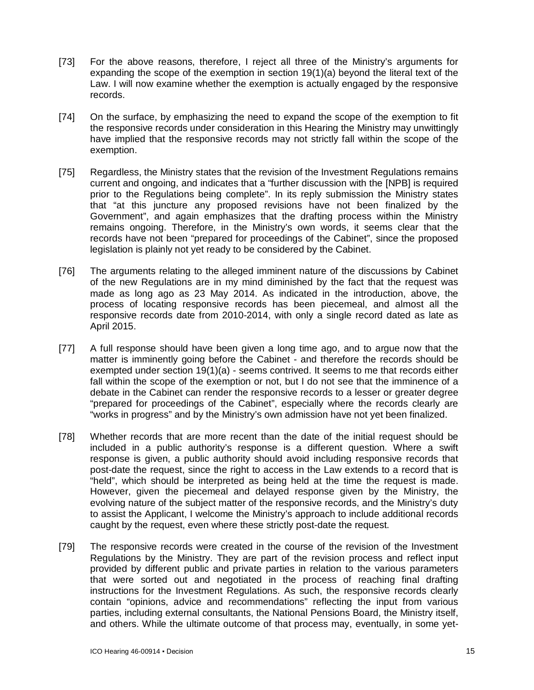- [73] For the above reasons, therefore, I reject all three of the Ministry's arguments for expanding the scope of the exemption in section 19(1)(a) beyond the literal text of the Law. I will now examine whether the exemption is actually engaged by the responsive records.
- [74] On the surface, by emphasizing the need to expand the scope of the exemption to fit the responsive records under consideration in this Hearing the Ministry may unwittingly have implied that the responsive records may not strictly fall within the scope of the exemption.
- [75] Regardless, the Ministry states that the revision of the Investment Regulations remains current and ongoing, and indicates that a "further discussion with the [NPB] is required prior to the Regulations being complete". In its reply submission the Ministry states that "at this juncture any proposed revisions have not been finalized by the Government", and again emphasizes that the drafting process within the Ministry remains ongoing. Therefore, in the Ministry's own words, it seems clear that the records have not been "prepared for proceedings of the Cabinet", since the proposed legislation is plainly not yet ready to be considered by the Cabinet.
- [76] The arguments relating to the alleged imminent nature of the discussions by Cabinet of the new Regulations are in my mind diminished by the fact that the request was made as long ago as 23 May 2014. As indicated in the introduction, above, the process of locating responsive records has been piecemeal, and almost all the responsive records date from 2010-2014, with only a single record dated as late as April 2015.
- [77] A full response should have been given a long time ago, and to argue now that the matter is imminently going before the Cabinet - and therefore the records should be exempted under section  $19(1)(a)$  - seems contrived. It seems to me that records either fall within the scope of the exemption or not, but I do not see that the imminence of a debate in the Cabinet can render the responsive records to a lesser or greater degree "prepared for proceedings of the Cabinet", especially where the records clearly are "works in progress" and by the Ministry's own admission have not yet been finalized.
- [78] Whether records that are more recent than the date of the initial request should be included in a public authority's response is a different question. Where a swift response is given, a public authority should avoid including responsive records that post-date the request, since the right to access in the Law extends to a record that is "held", which should be interpreted as being held at the time the request is made. However, given the piecemeal and delayed response given by the Ministry, the evolving nature of the subject matter of the responsive records, and the Ministry's duty to assist the Applicant, I welcome the Ministry's approach to include additional records caught by the request, even where these strictly post-date the request.
- [79] The responsive records were created in the course of the revision of the Investment Regulations by the Ministry. They are part of the revision process and reflect input provided by different public and private parties in relation to the various parameters that were sorted out and negotiated in the process of reaching final drafting instructions for the Investment Regulations. As such, the responsive records clearly contain "opinions, advice and recommendations" reflecting the input from various parties, including external consultants, the National Pensions Board, the Ministry itself, and others. While the ultimate outcome of that process may, eventually, in some yet-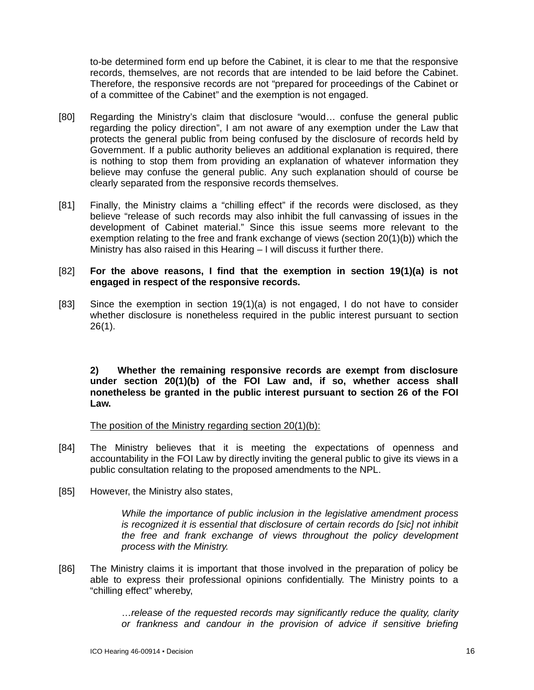to-be determined form end up before the Cabinet, it is clear to me that the responsive records, themselves, are not records that are intended to be laid before the Cabinet. Therefore, the responsive records are not "prepared for proceedings of the Cabinet or of a committee of the Cabinet" and the exemption is not engaged.

- [80] Regarding the Ministry's claim that disclosure "would… confuse the general public regarding the policy direction", I am not aware of any exemption under the Law that protects the general public from being confused by the disclosure of records held by Government. If a public authority believes an additional explanation is required, there is nothing to stop them from providing an explanation of whatever information they believe may confuse the general public. Any such explanation should of course be clearly separated from the responsive records themselves.
- [81] Finally, the Ministry claims a "chilling effect" if the records were disclosed, as they believe "release of such records may also inhibit the full canvassing of issues in the development of Cabinet material." Since this issue seems more relevant to the exemption relating to the free and frank exchange of views (section 20(1)(b)) which the Ministry has also raised in this Hearing – I will discuss it further there.

## [82] **For the above reasons, I find that the exemption in section 19(1)(a) is not engaged in respect of the responsive records.**

[83] Since the exemption in section 19(1)(a) is not engaged, I do not have to consider whether disclosure is nonetheless required in the public interest pursuant to section 26(1).

**2) Whether the remaining responsive records are exempt from disclosure under section 20(1)(b) of the FOI Law and, if so, whether access shall nonetheless be granted in the public interest pursuant to section 26 of the FOI Law.**

The position of the Ministry regarding section 20(1)(b):

- [84] The Ministry believes that it is meeting the expectations of openness and accountability in the FOI Law by directly inviting the general public to give its views in a public consultation relating to the proposed amendments to the NPL.
- [85] However, the Ministry also states,

*While the importance of public inclusion in the legislative amendment process is recognized it is essential that disclosure of certain records do [sic] not inhibit the free and frank exchange of views throughout the policy development process with the Ministry.* 

[86] The Ministry claims it is important that those involved in the preparation of policy be able to express their professional opinions confidentially. The Ministry points to a "chilling effect" whereby,

> …*release of the requested records may significantly reduce the quality, clarity or frankness and candour in the provision of advice if sensitive briefing*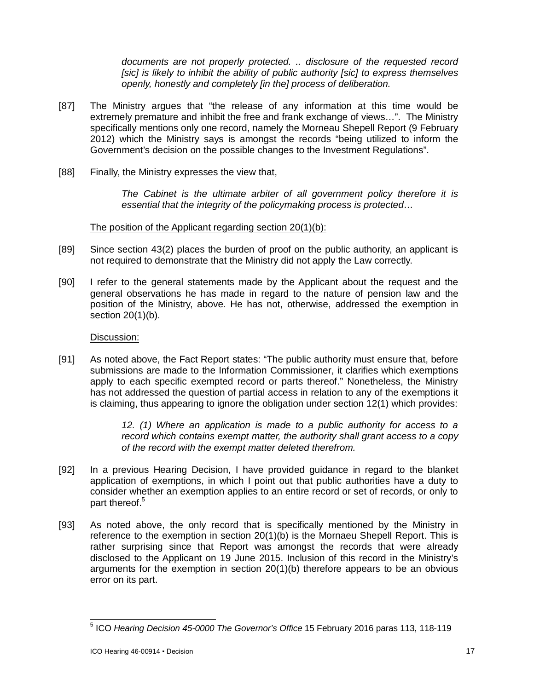*documents are not properly protected. .. disclosure of the requested record [sic] is likely to inhibit the ability of public authority [sic] to express themselves openly, honestly and completely [in the] process of deliberation.*

- [87] The Ministry argues that "the release of any information at this time would be extremely premature and inhibit the free and frank exchange of views…". The Ministry specifically mentions only one record, namely the Morneau Shepell Report (9 February 2012) which the Ministry says is amongst the records "being utilized to inform the Government's decision on the possible changes to the Investment Regulations".
- [88] Finally, the Ministry expresses the view that,

*The Cabinet is the ultimate arbiter of all government policy therefore it is essential that the integrity of the policymaking process is protected…*

The position of the Applicant regarding section 20(1)(b):

- [89] Since section 43(2) places the burden of proof on the public authority, an applicant is not required to demonstrate that the Ministry did not apply the Law correctly.
- [90] I refer to the general statements made by the Applicant about the request and the general observations he has made in regard to the nature of pension law and the position of the Ministry, above. He has not, otherwise, addressed the exemption in section 20(1)(b).

## Discussion:

[91] As noted above, the Fact Report states: "The public authority must ensure that, before submissions are made to the Information Commissioner, it clarifies which exemptions apply to each specific exempted record or parts thereof." Nonetheless, the Ministry has not addressed the question of partial access in relation to any of the exemptions it is claiming, thus appearing to ignore the obligation under section 12(1) which provides:

> *12. (1) Where an application is made to a public authority for access to a record which contains exempt matter, the authority shall grant access to a copy of the record with the exempt matter deleted therefrom.*

- [92] In a previous Hearing Decision, I have provided guidance in regard to the blanket application of exemptions, in which I point out that public authorities have a duty to consider whether an exemption applies to an entire record or set of records, or only to part thereof.<sup>5</sup>
- [93] As noted above, the only record that is specifically mentioned by the Ministry in reference to the exemption in section 20(1)(b) is the Mornaeu Shepell Report. This is rather surprising since that Report was amongst the records that were already disclosed to the Applicant on 19 June 2015. Inclusion of this record in the Ministry's arguments for the exemption in section  $20(1)(b)$  therefore appears to be an obvious error on its part.

 5 ICO *Hearing Decision 45-0000 The Governor's Office* 15 February 2016 paras 113, 118-119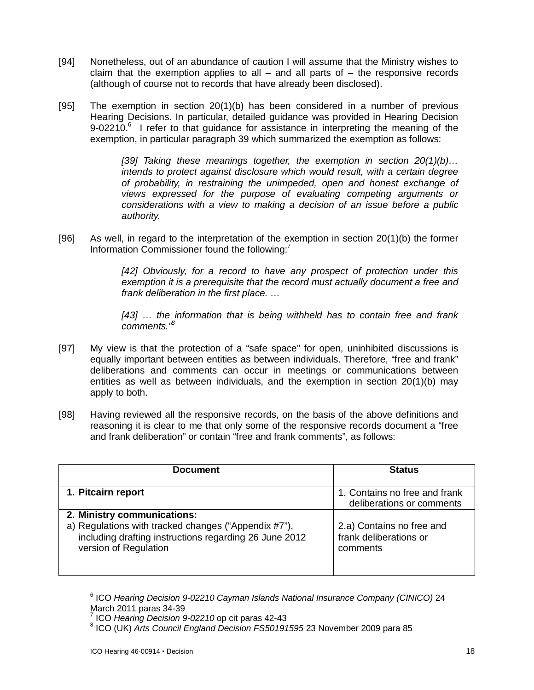- [94] Nonetheless, out of an abundance of caution I will assume that the Ministry wishes to claim that the exemption applies to all  $-$  and all parts of  $-$  the responsive records (although of course not to records that have already been disclosed).
- [95] The exemption in section 20(1)(b) has been considered in a number of previous Hearing Decisions. In particular, detailed guidance was provided in Hearing Decision  $9-02210$ .<sup>6</sup> I refer to that guidance for assistance in interpreting the meaning of the exemption, in particular paragraph 39 which summarized the exemption as follows:

*[39] Taking these meanings together, the exemption in section 20(1)(b)… intends to protect against disclosure which would result, with a certain degree of probability, in restraining the unimpeded, open and honest exchange of views expressed for the purpose of evaluating competing arguments or considerations with a view to making a decision of an issue before a public authority.*

[96] As well, in regard to the interpretation of the exemption in section 20(1)(b) the former Information Commissioner found the following:<sup>7</sup>

> *[42] Obviously, for a record to have any prospect of protection under this exemption it is a prerequisite that the record must actually document a free and frank deliberation in the first place. …*

> *[43] … the information that is being withheld has to contain free and frank comments."<sup>8</sup>*

- [97] My view is that the protection of a "safe space" for open, uninhibited discussions is equally important between entities as between individuals. Therefore, "free and frank" deliberations and comments can occur in meetings or communications between entities as well as between individuals, and the exemption in section  $20(1)(b)$  may apply to both.
- [98] Having reviewed all the responsive records, on the basis of the above definitions and reasoning it is clear to me that only some of the responsive records document a "free and frank deliberation" or contain "free and frank comments", as follows:

| <b>Document</b>                                                                                                                                                        | <b>Status</b>                                                   |
|------------------------------------------------------------------------------------------------------------------------------------------------------------------------|-----------------------------------------------------------------|
| 1. Pitcairn report                                                                                                                                                     | 1. Contains no free and frank<br>deliberations or comments      |
| 2. Ministry communications:<br>a) Regulations with tracked changes ("Appendix #7"),<br>including drafting instructions regarding 26 June 2012<br>version of Regulation | 2.a) Contains no free and<br>frank deliberations or<br>comments |

 6 ICO *Hearing Decision 9-02210 Cayman Islands National Insurance Company (CINICO)* 24 March 2011 paras 34-39

<sup>7</sup> ICO *Hearing Decision 9-02210* op cit paras 42-43

<sup>8</sup> ICO (UK) *Arts Council England Decision FS50191595* 23 November 2009 para 85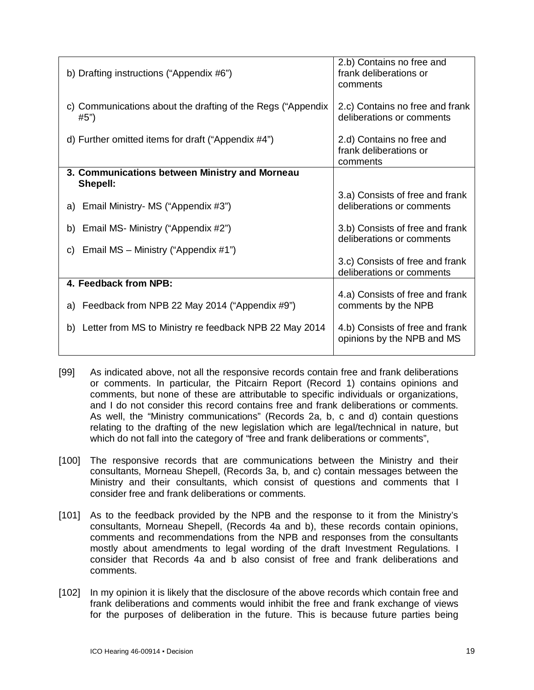| b) Drafting instructions ("Appendix #6")                            | 2.b) Contains no free and<br>frank deliberations or<br>comments |
|---------------------------------------------------------------------|-----------------------------------------------------------------|
| c) Communications about the drafting of the Regs ("Appendix<br>#5") | 2.c) Contains no free and frank<br>deliberations or comments    |
| d) Further omitted items for draft ("Appendix $#4$ ")               | 2.d) Contains no free and<br>frank deliberations or<br>comments |
| 3. Communications between Ministry and Morneau<br>Shepell:          |                                                                 |
|                                                                     | 3.a) Consists of free and frank                                 |
| Email Ministry- MS ("Appendix #3")<br>a)                            | deliberations or comments                                       |
| b) Email MS- Ministry ("Appendix #2")                               | 3.b) Consists of free and frank<br>deliberations or comments    |
| Email MS - Ministry ("Appendix #1")<br>C)                           |                                                                 |
|                                                                     | 3.c) Consists of free and frank<br>deliberations or comments    |
| 4. Feedback from NPB:                                               |                                                                 |
| Feedback from NPB 22 May 2014 ("Appendix #9")<br>a)                 | 4.a) Consists of free and frank<br>comments by the NPB          |
| b) Letter from MS to Ministry re feedback NPB 22 May 2014           | 4.b) Consists of free and frank<br>opinions by the NPB and MS   |

- [99] As indicated above, not all the responsive records contain free and frank deliberations or comments. In particular, the Pitcairn Report (Record 1) contains opinions and comments, but none of these are attributable to specific individuals or organizations, and I do not consider this record contains free and frank deliberations or comments. As well, the "Ministry communications" (Records 2a, b, c and d) contain questions relating to the drafting of the new legislation which are legal/technical in nature, but which do not fall into the category of "free and frank deliberations or comments",
- [100] The responsive records that are communications between the Ministry and their consultants, Morneau Shepell, (Records 3a, b, and c) contain messages between the Ministry and their consultants, which consist of questions and comments that I consider free and frank deliberations or comments.
- [101] As to the feedback provided by the NPB and the response to it from the Ministry's consultants, Morneau Shepell, (Records 4a and b), these records contain opinions, comments and recommendations from the NPB and responses from the consultants mostly about amendments to legal wording of the draft Investment Regulations. I consider that Records 4a and b also consist of free and frank deliberations and comments.
- [102] In my opinion it is likely that the disclosure of the above records which contain free and frank deliberations and comments would inhibit the free and frank exchange of views for the purposes of deliberation in the future. This is because future parties being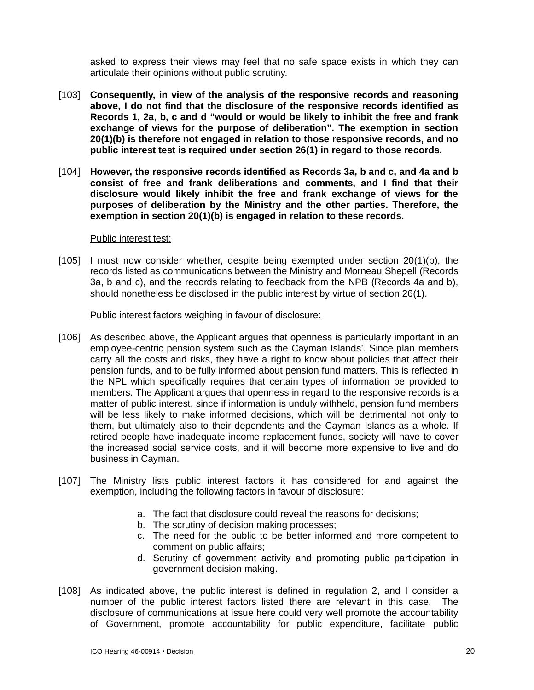asked to express their views may feel that no safe space exists in which they can articulate their opinions without public scrutiny.

- [103] **Consequently, in view of the analysis of the responsive records and reasoning above, I do not find that the disclosure of the responsive records identified as Records 1, 2a, b, c and d "would or would be likely to inhibit the free and frank exchange of views for the purpose of deliberation". The exemption in section 20(1)(b) is therefore not engaged in relation to those responsive records, and no public interest test is required under section 26(1) in regard to those records.**
- [104] **However, the responsive records identified as Records 3a, b and c, and 4a and b consist of free and frank deliberations and comments, and I find that their disclosure would likely inhibit the free and frank exchange of views for the purposes of deliberation by the Ministry and the other parties. Therefore, the exemption in section 20(1)(b) is engaged in relation to these records.**

#### Public interest test:

[105] I must now consider whether, despite being exempted under section 20(1)(b), the records listed as communications between the Ministry and Morneau Shepell (Records 3a, b and c), and the records relating to feedback from the NPB (Records 4a and b), should nonetheless be disclosed in the public interest by virtue of section 26(1).

#### Public interest factors weighing in favour of disclosure:

- [106] As described above, the Applicant argues that openness is particularly important in an employee-centric pension system such as the Cayman Islands'. Since plan members carry all the costs and risks, they have a right to know about policies that affect their pension funds, and to be fully informed about pension fund matters. This is reflected in the NPL which specifically requires that certain types of information be provided to members. The Applicant argues that openness in regard to the responsive records is a matter of public interest, since if information is unduly withheld, pension fund members will be less likely to make informed decisions, which will be detrimental not only to them, but ultimately also to their dependents and the Cayman Islands as a whole. If retired people have inadequate income replacement funds, society will have to cover the increased social service costs, and it will become more expensive to live and do business in Cayman.
- [107] The Ministry lists public interest factors it has considered for and against the exemption, including the following factors in favour of disclosure:
	- a. The fact that disclosure could reveal the reasons for decisions;
	- b. The scrutiny of decision making processes;
	- c. The need for the public to be better informed and more competent to comment on public affairs;
	- d. Scrutiny of government activity and promoting public participation in government decision making.
- [108] As indicated above, the public interest is defined in regulation 2, and I consider a number of the public interest factors listed there are relevant in this case. The disclosure of communications at issue here could very well promote the accountability of Government, promote accountability for public expenditure, facilitate public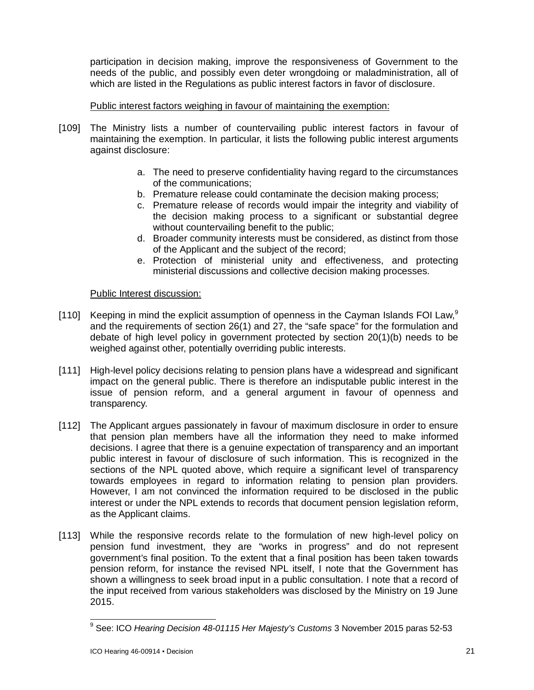participation in decision making, improve the responsiveness of Government to the needs of the public, and possibly even deter wrongdoing or maladministration, all of which are listed in the Regulations as public interest factors in favor of disclosure.

# Public interest factors weighing in favour of maintaining the exemption:

- [109] The Ministry lists a number of countervailing public interest factors in favour of maintaining the exemption. In particular, it lists the following public interest arguments against disclosure:
	- a. The need to preserve confidentiality having regard to the circumstances of the communications;
	- b. Premature release could contaminate the decision making process;
	- c. Premature release of records would impair the integrity and viability of the decision making process to a significant or substantial degree without countervailing benefit to the public;
	- d. Broader community interests must be considered, as distinct from those of the Applicant and the subject of the record;
	- e. Protection of ministerial unity and effectiveness, and protecting ministerial discussions and collective decision making processes.

## Public Interest discussion:

- [110] Keeping in mind the explicit assumption of openness in the Cayman Islands FOI Law, $9$ and the requirements of section 26(1) and 27, the "safe space" for the formulation and debate of high level policy in government protected by section 20(1)(b) needs to be weighed against other, potentially overriding public interests.
- [111] High-level policy decisions relating to pension plans have a widespread and significant impact on the general public. There is therefore an indisputable public interest in the issue of pension reform, and a general argument in favour of openness and transparency.
- [112] The Applicant argues passionately in favour of maximum disclosure in order to ensure that pension plan members have all the information they need to make informed decisions. I agree that there is a genuine expectation of transparency and an important public interest in favour of disclosure of such information. This is recognized in the sections of the NPL quoted above, which require a significant level of transparency towards employees in regard to information relating to pension plan providers. However, I am not convinced the information required to be disclosed in the public interest or under the NPL extends to records that document pension legislation reform, as the Applicant claims.
- [113] While the responsive records relate to the formulation of new high-level policy on pension fund investment, they are "works in progress" and do not represent government's final position. To the extent that a final position has been taken towards pension reform, for instance the revised NPL itself, I note that the Government has shown a willingness to seek broad input in a public consultation. I note that a record of the input received from various stakeholders was disclosed by the Ministry on 19 June 2015.

 $\overline{a}$ <sup>9</sup> See: ICO *Hearing Decision 48-01115 Her Majesty's Customs* 3 November 2015 paras 52-53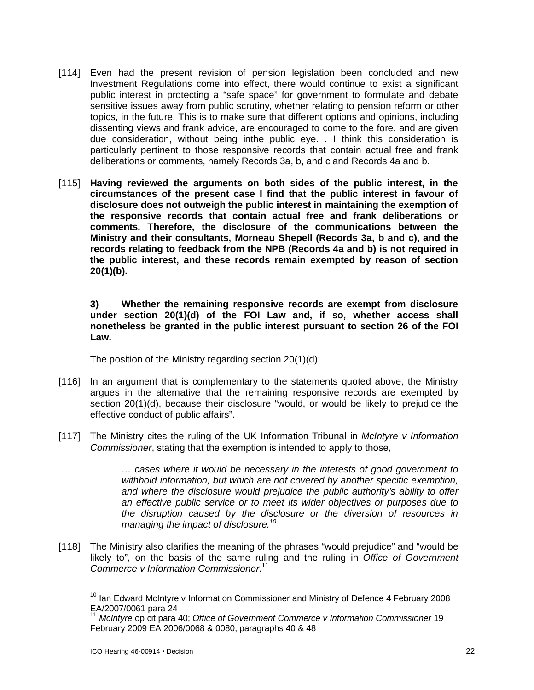- [114] Even had the present revision of pension legislation been concluded and new Investment Regulations come into effect, there would continue to exist a significant public interest in protecting a "safe space" for government to formulate and debate sensitive issues away from public scrutiny, whether relating to pension reform or other topics, in the future. This is to make sure that different options and opinions, including dissenting views and frank advice, are encouraged to come to the fore, and are given due consideration, without being inthe public eye. . I think this consideration is particularly pertinent to those responsive records that contain actual free and frank deliberations or comments, namely Records 3a, b, and c and Records 4a and b.
- [115] **Having reviewed the arguments on both sides of the public interest, in the circumstances of the present case I find that the public interest in favour of disclosure does not outweigh the public interest in maintaining the exemption of the responsive records that contain actual free and frank deliberations or comments. Therefore, the disclosure of the communications between the Ministry and their consultants, Morneau Shepell (Records 3a, b and c), and the records relating to feedback from the NPB (Records 4a and b) is not required in the public interest, and these records remain exempted by reason of section 20(1)(b).**

**3) Whether the remaining responsive records are exempt from disclosure under section 20(1)(d) of the FOI Law and, if so, whether access shall nonetheless be granted in the public interest pursuant to section 26 of the FOI Law.**

The position of the Ministry regarding section 20(1)(d):

- [116] In an argument that is complementary to the statements quoted above, the Ministry argues in the alternative that the remaining responsive records are exempted by section 20(1)(d), because their disclosure "would, or would be likely to prejudice the effective conduct of public affairs".
- [117] The Ministry cites the ruling of the UK Information Tribunal in *McIntyre v Information Commissioner*, stating that the exemption is intended to apply to those,

*… cases where it would be necessary in the interests of good government to withhold information, but which are not covered by another specific exemption, and where the disclosure would prejudice the public authority's ability to offer an effective public service or to meet its wider objectives or purposes due to the disruption caused by the disclosure or the diversion of resources in managing the impact of disclosure.<sup>10</sup>*

[118] The Ministry also clarifies the meaning of the phrases "would prejudice" and "would be likely to", on the basis of the same ruling and the ruling in *Office of Government Commerce v Information Commissioner*. 11

 $\overline{1}$ 

 $10$  Ian Edward McIntyre v Information Commissioner and Ministry of Defence 4 February 2008 EA/2007/0061 para 24

<sup>11</sup> *McIntyre* op cit para 40; *Office of Government Commerce v Information Commissioner* 19 February 2009 EA 2006/0068 & 0080, paragraphs 40 & 48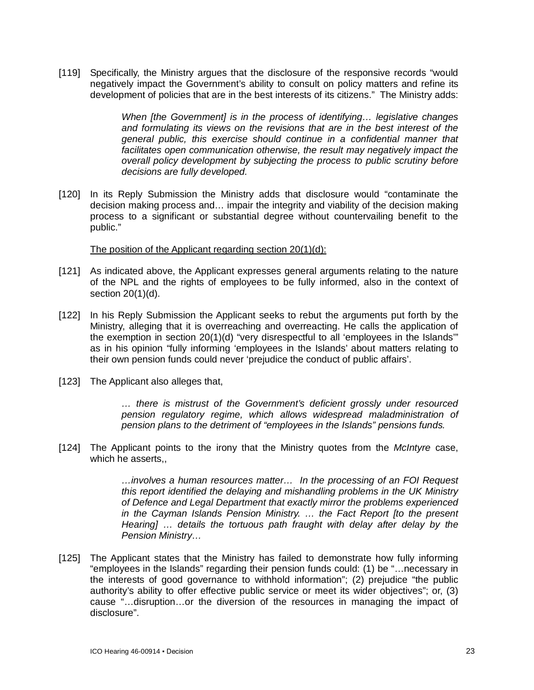[119] Specifically, the Ministry argues that the disclosure of the responsive records "would negatively impact the Government's ability to consult on policy matters and refine its development of policies that are in the best interests of its citizens." The Ministry adds:

> *When [the Government] is in the process of identifying… legislative changes and formulating its views on the revisions that are in the best interest of the general public, this exercise should continue in a confidential manner that facilitates open communication otherwise, the result may negatively impact the overall policy development by subjecting the process to public scrutiny before decisions are fully developed.*

[120] In its Reply Submission the Ministry adds that disclosure would "contaminate the decision making process and… impair the integrity and viability of the decision making process to a significant or substantial degree without countervailing benefit to the public."

The position of the Applicant regarding section 20(1)(d):

- [121] As indicated above, the Applicant expresses general arguments relating to the nature of the NPL and the rights of employees to be fully informed, also in the context of section 20(1)(d).
- [122] In his Reply Submission the Applicant seeks to rebut the arguments put forth by the Ministry, alleging that it is overreaching and overreacting. He calls the application of the exemption in section 20(1)(d) "very disrespectful to all 'employees in the Islands'" as in his opinion "fully informing 'employees in the Islands' about matters relating to their own pension funds could never 'prejudice the conduct of public affairs'.
- [123] The Applicant also alleges that,

*… there is mistrust of the Government's deficient grossly under resourced pension regulatory regime, which allows widespread maladministration of pension plans to the detriment of "employees in the Islands" pensions funds.*

[124] The Applicant points to the irony that the Ministry quotes from the *McIntyre* case, which he asserts,,

> *…involves a human resources matter… In the processing of an FOI Request this report identified the delaying and mishandling problems in the UK Ministry of Defence and Legal Department that exactly mirror the problems experienced in the Cayman Islands Pension Ministry. … the Fact Report [to the present Hearing] … details the tortuous path fraught with delay after delay by the Pension Ministry…*

[125] The Applicant states that the Ministry has failed to demonstrate how fully informing "employees in the Islands" regarding their pension funds could: (1) be "…necessary in the interests of good governance to withhold information"; (2) prejudice "the public authority's ability to offer effective public service or meet its wider objectives"; or, (3) cause "…disruption…or the diversion of the resources in managing the impact of disclosure".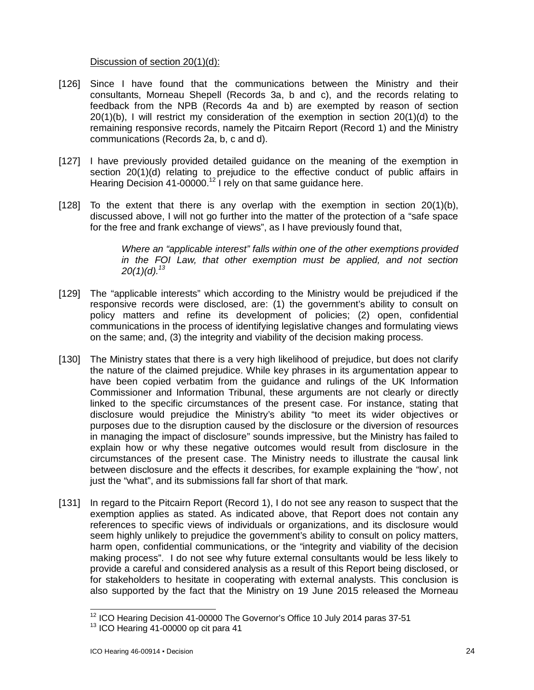## Discussion of section 20(1)(d):

- [126] Since I have found that the communications between the Ministry and their consultants, Morneau Shepell (Records 3a, b and c), and the records relating to feedback from the NPB (Records 4a and b) are exempted by reason of section 20(1)(b), I will restrict my consideration of the exemption in section 20(1)(d) to the remaining responsive records, namely the Pitcairn Report (Record 1) and the Ministry communications (Records 2a, b, c and d).
- [127] I have previously provided detailed guidance on the meaning of the exemption in section 20(1)(d) relating to prejudice to the effective conduct of public affairs in Hearing Decision 41-00000.<sup>12</sup> I rely on that same guidance here.
- [128] To the extent that there is any overlap with the exemption in section  $20(1)(b)$ , discussed above, I will not go further into the matter of the protection of a "safe space for the free and frank exchange of views", as I have previously found that,

*Where an "applicable interest" falls within one of the other exemptions provided in the FOI Law, that other exemption must be applied, and not section 20(1)(d).<sup>13</sup>*

- [129] The "applicable interests" which according to the Ministry would be prejudiced if the responsive records were disclosed, are: (1) the government's ability to consult on policy matters and refine its development of policies; (2) open, confidential communications in the process of identifying legislative changes and formulating views on the same; and, (3) the integrity and viability of the decision making process.
- [130] The Ministry states that there is a very high likelihood of prejudice, but does not clarify the nature of the claimed prejudice. While key phrases in its argumentation appear to have been copied verbatim from the guidance and rulings of the UK Information Commissioner and Information Tribunal, these arguments are not clearly or directly linked to the specific circumstances of the present case. For instance, stating that disclosure would prejudice the Ministry's ability "to meet its wider objectives or purposes due to the disruption caused by the disclosure or the diversion of resources in managing the impact of disclosure" sounds impressive, but the Ministry has failed to explain how or why these negative outcomes would result from disclosure in the circumstances of the present case. The Ministry needs to illustrate the causal link between disclosure and the effects it describes, for example explaining the "how', not just the "what", and its submissions fall far short of that mark.
- [131] In regard to the Pitcairn Report (Record 1), I do not see any reason to suspect that the exemption applies as stated. As indicated above, that Report does not contain any references to specific views of individuals or organizations, and its disclosure would seem highly unlikely to prejudice the government's ability to consult on policy matters, harm open, confidential communications, or the "integrity and viability of the decision making process". I do not see why future external consultants would be less likely to provide a careful and considered analysis as a result of this Report being disclosed, or for stakeholders to hesitate in cooperating with external analysts. This conclusion is also supported by the fact that the Ministry on 19 June 2015 released the Morneau

 $\overline{\phantom{a}}$  $^{12}$  ICO Hearing Decision 41-00000 The Governor's Office 10 July 2014 paras 37-51

 $13$  ICO Hearing 41-00000 op cit para 41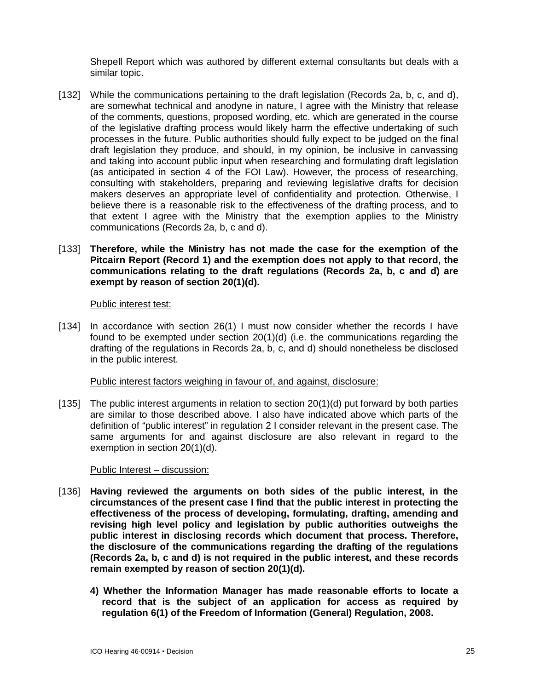Shepell Report which was authored by different external consultants but deals with a similar topic.

[132] While the communications pertaining to the draft legislation (Records 2a, b, c, and d), are somewhat technical and anodyne in nature, I agree with the Ministry that release of the comments, questions, proposed wording, etc. which are generated in the course of the legislative drafting process would likely harm the effective undertaking of such processes in the future. Public authorities should fully expect to be judged on the final draft legislation they produce, and should, in my opinion, be inclusive in canvassing and taking into account public input when researching and formulating draft legislation (as anticipated in section 4 of the FOI Law). However, the process of researching, consulting with stakeholders, preparing and reviewing legislative drafts for decision makers deserves an appropriate level of confidentiality and protection. Otherwise, I believe there is a reasonable risk to the effectiveness of the drafting process, and to that extent I agree with the Ministry that the exemption applies to the Ministry communications (Records 2a, b, c and d).

#### [133] **Therefore, while the Ministry has not made the case for the exemption of the Pitcairn Report (Record 1) and the exemption does not apply to that record, the communications relating to the draft regulations (Records 2a, b, c and d) are exempt by reason of section 20(1)(d).**

#### Public interest test:

[134] In accordance with section 26(1) I must now consider whether the records I have found to be exempted under section 20(1)(d) (i.e. the communications regarding the drafting of the regulations in Records 2a, b, c, and d) should nonetheless be disclosed in the public interest.

#### Public interest factors weighing in favour of, and against, disclosure:

[135] The public interest arguments in relation to section 20(1)(d) put forward by both parties are similar to those described above. I also have indicated above which parts of the definition of "public interest" in regulation 2 I consider relevant in the present case. The same arguments for and against disclosure are also relevant in regard to the exemption in section 20(1)(d).

#### Public Interest – discussion:

- [136] **Having reviewed the arguments on both sides of the public interest, in the circumstances of the present case I find that the public interest in protecting the effectiveness of the process of developing, formulating, drafting, amending and revising high level policy and legislation by public authorities outweighs the public interest in disclosing records which document that process. Therefore, the disclosure of the communications regarding the drafting of the regulations (Records 2a, b, c and d) is not required in the public interest, and these records remain exempted by reason of section 20(1)(d).**
	- **4) Whether the Information Manager has made reasonable efforts to locate a record that is the subject of an application for access as required by regulation 6(1) of the Freedom of Information (General) Regulation, 2008.**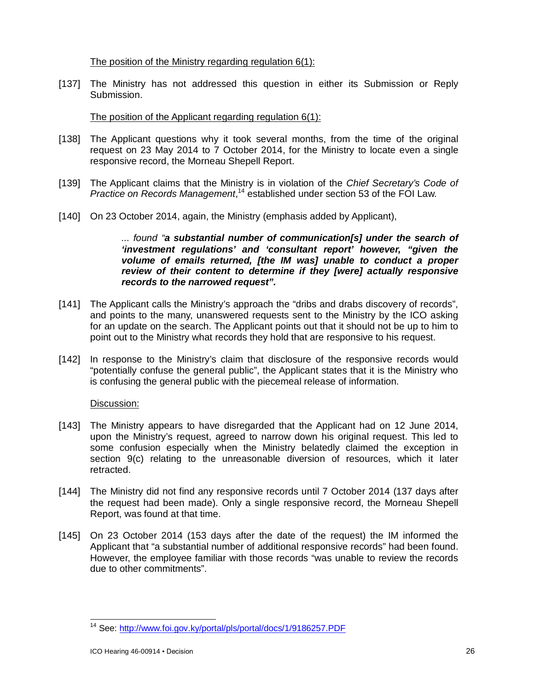The position of the Ministry regarding regulation 6(1):

[137] The Ministry has not addressed this question in either its Submission or Reply Submission.

## The position of the Applicant regarding regulation 6(1):

- [138] The Applicant questions why it took several months, from the time of the original request on 23 May 2014 to 7 October 2014, for the Ministry to locate even a single responsive record, the Morneau Shepell Report.
- [139] The Applicant claims that the Ministry is in violation of the *Chief Secretary's Code of Practice on Records Management*, <sup>14</sup> established under section 53 of the FOI Law.
- [140] On 23 October 2014, again, the Ministry (emphasis added by Applicant),

*... found "a substantial number of communication[s] under the search of 'investment regulations' and 'consultant report' however, "given the volume of emails returned, [the IM was] unable to conduct a proper review of their content to determine if they [were] actually responsive records to the narrowed request".*

- [141] The Applicant calls the Ministry's approach the "dribs and drabs discovery of records", and points to the many, unanswered requests sent to the Ministry by the ICO asking for an update on the search. The Applicant points out that it should not be up to him to point out to the Ministry what records they hold that are responsive to his request.
- [142] In response to the Ministry's claim that disclosure of the responsive records would "potentially confuse the general public", the Applicant states that it is the Ministry who is confusing the general public with the piecemeal release of information.

## Discussion:

- [143] The Ministry appears to have disregarded that the Applicant had on 12 June 2014, upon the Ministry's request, agreed to narrow down his original request. This led to some confusion especially when the Ministry belatedly claimed the exception in section 9(c) relating to the unreasonable diversion of resources, which it later retracted.
- [144] The Ministry did not find any responsive records until 7 October 2014 (137 days after the request had been made). Only a single responsive record, the Morneau Shepell Report, was found at that time.
- [145] On 23 October 2014 (153 days after the date of the request) the IM informed the Applicant that "a substantial number of additional responsive records" had been found. However, the employee familiar with those records "was unable to review the records due to other commitments".

 $\overline{a}$ <sup>14</sup> See: <http://www.foi.gov.ky/portal/pls/portal/docs/1/9186257.PDF>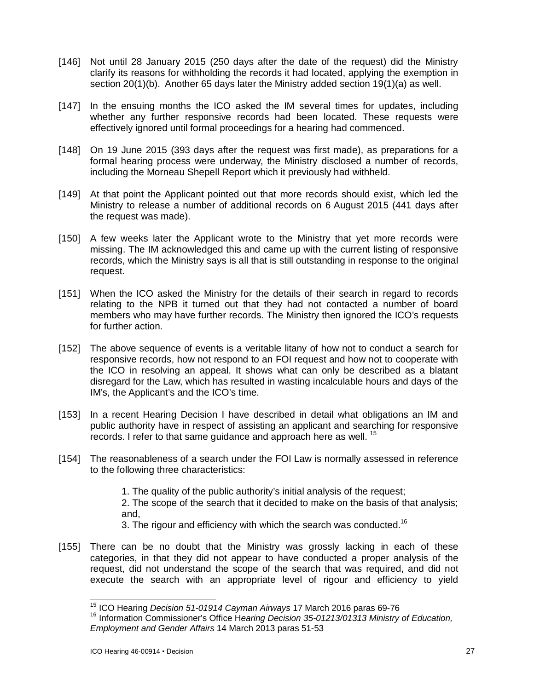- [146] Not until 28 January 2015 (250 days after the date of the request) did the Ministry clarify its reasons for withholding the records it had located, applying the exemption in section 20(1)(b). Another 65 days later the Ministry added section 19(1)(a) as well.
- [147] In the ensuing months the ICO asked the IM several times for updates, including whether any further responsive records had been located. These requests were effectively ignored until formal proceedings for a hearing had commenced.
- [148] On 19 June 2015 (393 days after the request was first made), as preparations for a formal hearing process were underway, the Ministry disclosed a number of records, including the Morneau Shepell Report which it previously had withheld.
- [149] At that point the Applicant pointed out that more records should exist, which led the Ministry to release a number of additional records on 6 August 2015 (441 days after the request was made).
- [150] A few weeks later the Applicant wrote to the Ministry that yet more records were missing. The IM acknowledged this and came up with the current listing of responsive records, which the Ministry says is all that is still outstanding in response to the original request.
- [151] When the ICO asked the Ministry for the details of their search in regard to records relating to the NPB it turned out that they had not contacted a number of board members who may have further records. The Ministry then ignored the ICO's requests for further action.
- [152] The above sequence of events is a veritable litany of how not to conduct a search for responsive records, how not respond to an FOI request and how not to cooperate with the ICO in resolving an appeal. It shows what can only be described as a blatant disregard for the Law, which has resulted in wasting incalculable hours and days of the IM's, the Applicant's and the ICO's time.
- [153] In a recent Hearing Decision I have described in detail what obligations an IM and public authority have in respect of assisting an applicant and searching for responsive records. I refer to that same guidance and approach here as well. <sup>15</sup>
- [154] The reasonableness of a search under the FOI Law is normally assessed in reference to the following three characteristics:

1. The quality of the public authority's initial analysis of the request;

2. The scope of the search that it decided to make on the basis of that analysis; and,

- 3. The rigour and efficiency with which the search was conducted.<sup>16</sup>
- [155] There can be no doubt that the Ministry was grossly lacking in each of these categories, in that they did not appear to have conducted a proper analysis of the request, did not understand the scope of the search that was required, and did not execute the search with an appropriate level of rigour and efficiency to yield

 $\overline{a}$ <sup>15</sup> ICO Hearing *Decision 51-01914 Cayman Airways* 17 March 2016 paras 69-76

<sup>16</sup> Information Commissioner's Office H*earing Decision 35-01213/01313 Ministry of Education, Employment and Gender Affairs* 14 March 2013 paras 51-53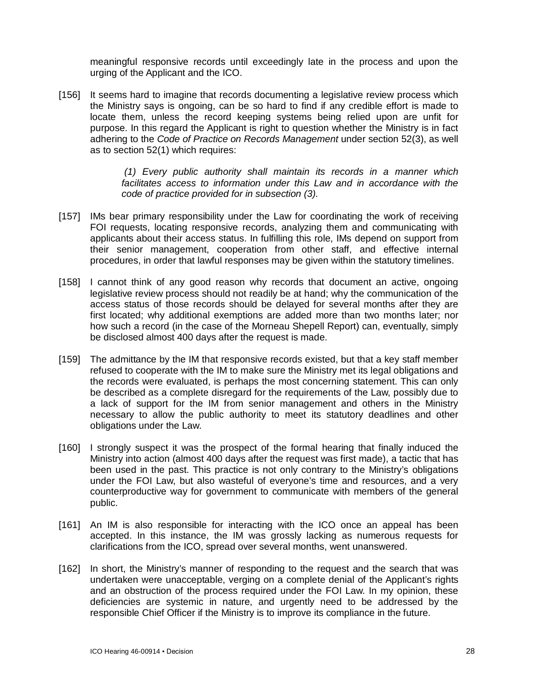meaningful responsive records until exceedingly late in the process and upon the urging of the Applicant and the ICO.

[156] It seems hard to imagine that records documenting a legislative review process which the Ministry says is ongoing, can be so hard to find if any credible effort is made to locate them, unless the record keeping systems being relied upon are unfit for purpose. In this regard the Applicant is right to question whether the Ministry is in fact adhering to the *Code of Practice on Records Management* under section 52(3), as well as to section 52(1) which requires:

> *(1) Every public authority shall maintain its records in a manner which facilitates access to information under this Law and in accordance with the code of practice provided for in subsection (3).*

- [157] IMs bear primary responsibility under the Law for coordinating the work of receiving FOI requests, locating responsive records, analyzing them and communicating with applicants about their access status. In fulfilling this role, IMs depend on support from their senior management, cooperation from other staff, and effective internal procedures, in order that lawful responses may be given within the statutory timelines.
- [158] I cannot think of any good reason why records that document an active, ongoing legislative review process should not readily be at hand; why the communication of the access status of those records should be delayed for several months after they are first located; why additional exemptions are added more than two months later; nor how such a record (in the case of the Morneau Shepell Report) can, eventually, simply be disclosed almost 400 days after the request is made.
- [159] The admittance by the IM that responsive records existed, but that a key staff member refused to cooperate with the IM to make sure the Ministry met its legal obligations and the records were evaluated, is perhaps the most concerning statement. This can only be described as a complete disregard for the requirements of the Law, possibly due to a lack of support for the IM from senior management and others in the Ministry necessary to allow the public authority to meet its statutory deadlines and other obligations under the Law.
- [160] I strongly suspect it was the prospect of the formal hearing that finally induced the Ministry into action (almost 400 days after the request was first made), a tactic that has been used in the past. This practice is not only contrary to the Ministry's obligations under the FOI Law, but also wasteful of everyone's time and resources, and a very counterproductive way for government to communicate with members of the general public.
- [161] An IM is also responsible for interacting with the ICO once an appeal has been accepted. In this instance, the IM was grossly lacking as numerous requests for clarifications from the ICO, spread over several months, went unanswered.
- [162] In short, the Ministry's manner of responding to the request and the search that was undertaken were unacceptable, verging on a complete denial of the Applicant's rights and an obstruction of the process required under the FOI Law. In my opinion, these deficiencies are systemic in nature, and urgently need to be addressed by the responsible Chief Officer if the Ministry is to improve its compliance in the future.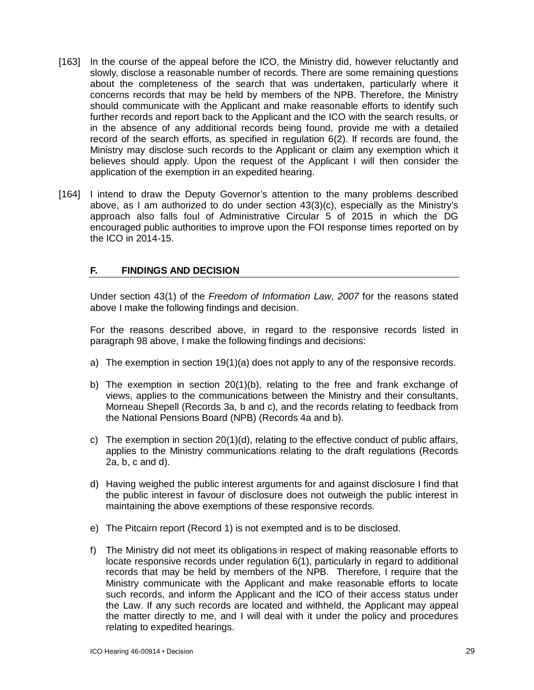- [163] In the course of the appeal before the ICO, the Ministry did, however reluctantly and slowly, disclose a reasonable number of records. There are some remaining questions about the completeness of the search that was undertaken, particularly where it concerns records that may be held by members of the NPB. Therefore, the Ministry should communicate with the Applicant and make reasonable efforts to identify such further records and report back to the Applicant and the ICO with the search results, or in the absence of any additional records being found, provide me with a detailed record of the search efforts, as specified in regulation 6(2). If records are found, the Ministry may disclose such records to the Applicant or claim any exemption which it believes should apply. Upon the request of the Applicant I will then consider the application of the exemption in an expedited hearing.
- [164] I intend to draw the Deputy Governor's attention to the many problems described above, as I am authorized to do under section 43(3)(c), especially as the Ministry's approach also falls foul of Administrative Circular 5 of 2015 in which the DG encouraged public authorities to improve upon the FOI response times reported on by the ICO in 2014-15.

## **F. FINDINGS AND DECISION**

Under section 43(1) of the *Freedom of Information Law, 2007* for the reasons stated above I make the following findings and decision.

For the reasons described above, in regard to the responsive records listed in paragraph 98 above, I make the following findings and decisions:

- a) The exemption in section 19(1)(a) does not apply to any of the responsive records.
- b) The exemption in section 20(1)(b), relating to the free and frank exchange of views, applies to the communications between the Ministry and their consultants, Morneau Shepell (Records 3a, b and c), and the records relating to feedback from the National Pensions Board (NPB) (Records 4a and b).
- c) The exemption in section 20(1)(d), relating to the effective conduct of public affairs, applies to the Ministry communications relating to the draft regulations (Records 2a, b, c and d).
- d) Having weighed the public interest arguments for and against disclosure I find that the public interest in favour of disclosure does not outweigh the public interest in maintaining the above exemptions of these responsive records.
- e) The Pitcairn report (Record 1) is not exempted and is to be disclosed.
- f) The Ministry did not meet its obligations in respect of making reasonable efforts to locate responsive records under regulation 6(1), particularly in regard to additional records that may be held by members of the NPB. Therefore, I require that the Ministry communicate with the Applicant and make reasonable efforts to locate such records, and inform the Applicant and the ICO of their access status under the Law. If any such records are located and withheld, the Applicant may appeal the matter directly to me, and I will deal with it under the policy and procedures relating to expedited hearings.